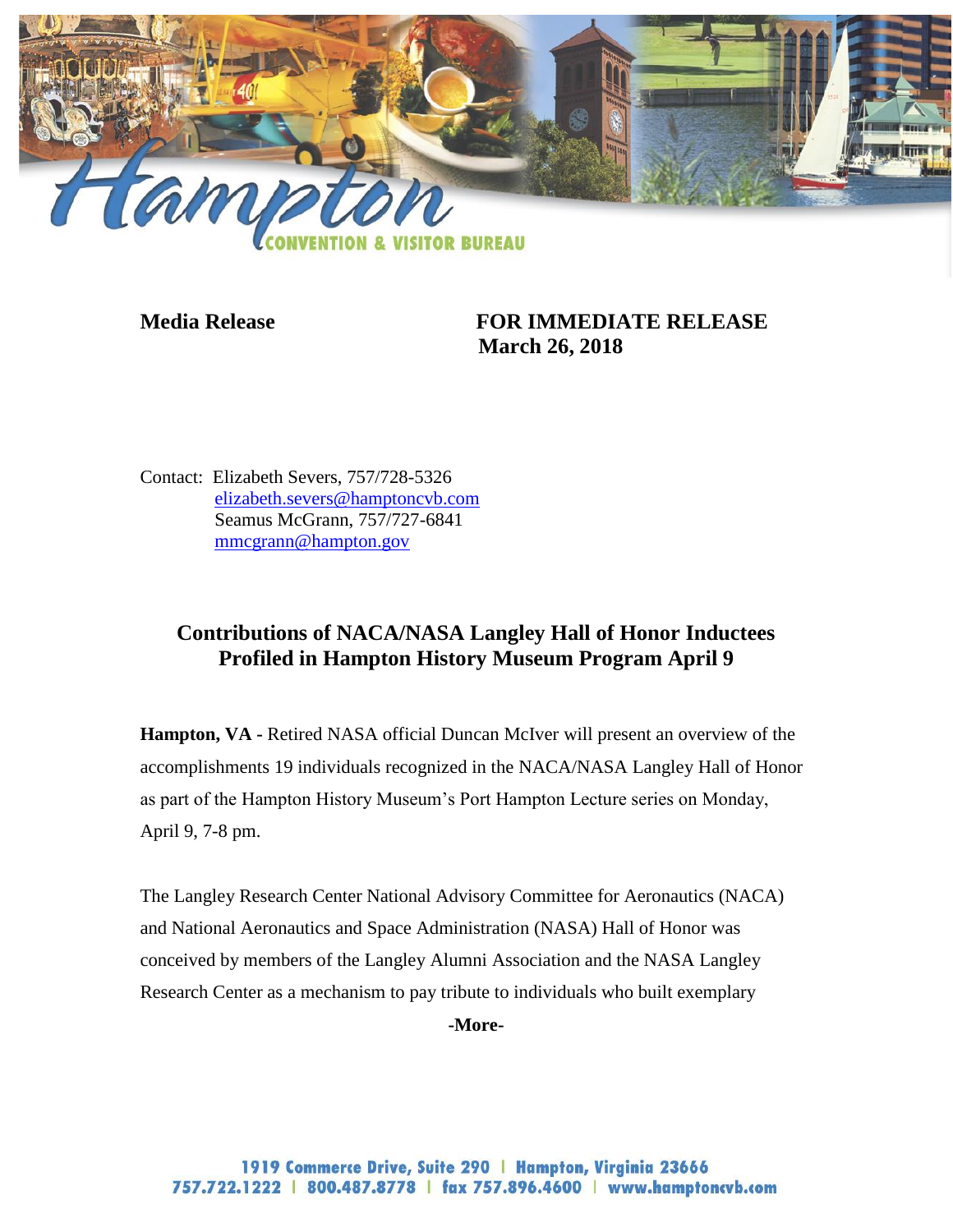

## **Media Release FOR IMMEDIATE RELEASE March 26, 2018**

Contact: Elizabeth Severs, 757/728-5326 [elizabeth.severs@hamptoncvb.com](mailto:elizabeth.severs@hamptoncvb.com) Seamus McGrann, 757/727-6841 [mmcgrann@hampton.gov](mailto:mmcgrann@hampton.gov)

## **Contributions of NACA/NASA Langley Hall of Honor Inductees Profiled in Hampton History Museum Program April 9**

**Hampton, VA -** Retired NASA official Duncan McIver will present an overview of the accomplishments 19 individuals recognized in the NACA/NASA Langley Hall of Honor as part of the Hampton History Museum's Port Hampton Lecture series on Monday, April 9, 7-8 pm.

The Langley Research Center National Advisory Committee for Aeronautics (NACA) and National Aeronautics and Space Administration (NASA) Hall of Honor was conceived by members of the Langley Alumni Association and the NASA Langley Research Center as a mechanism to pay tribute to individuals who built exemplary

**-More-**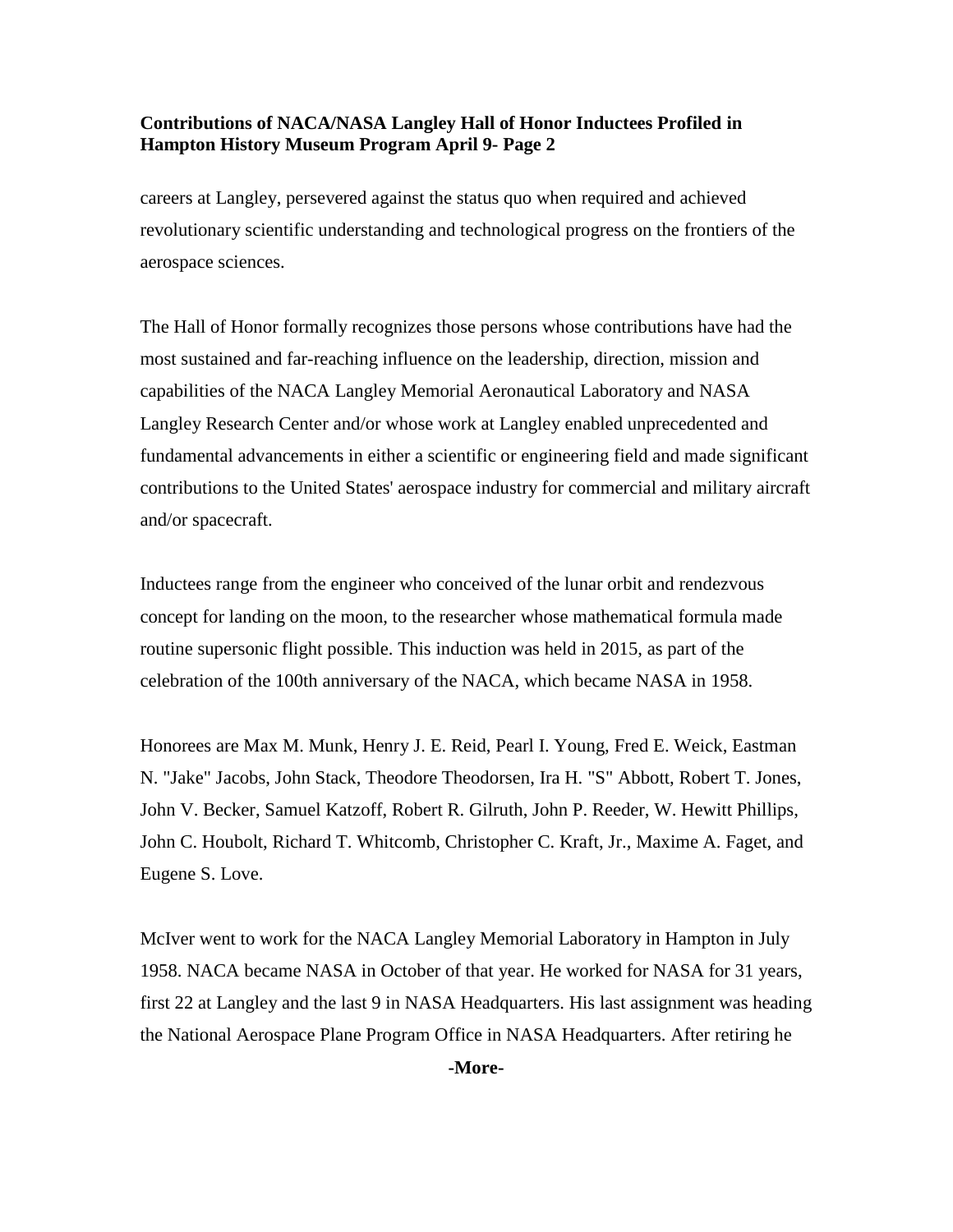## **Contributions of NACA/NASA Langley Hall of Honor Inductees Profiled in Hampton History Museum Program April 9- Page 2**

careers at Langley, persevered against the status quo when required and achieved revolutionary scientific understanding and technological progress on the frontiers of the aerospace sciences.

The Hall of Honor formally recognizes those persons whose contributions have had the most sustained and far-reaching influence on the leadership, direction, mission and capabilities of the NACA Langley Memorial Aeronautical Laboratory and NASA Langley Research Center and/or whose work at Langley enabled unprecedented and fundamental advancements in either a scientific or engineering field and made significant contributions to the United States' aerospace industry for commercial and military aircraft and/or spacecraft.

Inductees range from the engineer who conceived of the lunar orbit and rendezvous concept for landing on the moon, to the researcher whose mathematical formula made routine supersonic flight possible. This induction was held in 2015, as part of the celebration of the 100th anniversary of the NACA, which became NASA in 1958.

Honorees are Max M. Munk, Henry J. E. Reid, Pearl I. Young, Fred E. Weick, Eastman N. "Jake" Jacobs, John Stack, Theodore Theodorsen, Ira H. "S" Abbott, Robert T. Jones, John V. Becker, Samuel Katzoff, Robert R. Gilruth, John P. Reeder, W. Hewitt Phillips, John C. Houbolt, Richard T. Whitcomb, Christopher C. Kraft, Jr., Maxime A. Faget, and Eugene S. Love.

McIver went to work for the NACA Langley Memorial Laboratory in Hampton in July 1958. NACA became NASA in October of that year. He worked for NASA for 31 years, first 22 at Langley and the last 9 in NASA Headquarters. His last assignment was heading the National Aerospace Plane Program Office in NASA Headquarters. After retiring he

**-More-**